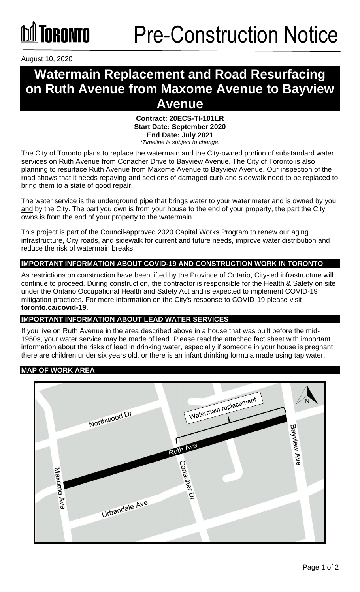August 10, 2020

## **Watermain Replacement and Road Resurfacing on Ruth Avenue from Maxome Avenue to Bayview Avenue**

**Contract: 20ECS-TI-101LR Start Date: September 2020 End Date: July 2021** *\*Timeline is subject to change.*

The City of Toronto plans to replace the watermain and the City-owned portion of substandard water services on Ruth Avenue from Conacher Drive to Bayview Avenue. The City of Toronto is also planning to resurface Ruth Avenue from Maxome Avenue to Bayview Avenue. Our inspection of the road shows that it needs repaving and sections of damaged curb and sidewalk need to be replaced to bring them to a state of good repair.

The water service is the underground pipe that brings water to your water meter and is owned by you and by the City. The part you own is from your house to the end of your property, the part the City owns is from the end of your property to the watermain.

This project is part of the Council-approved 2020 Capital Works Program to renew our aging infrastructure, City roads, and sidewalk for current and future needs, improve water distribution and reduce the risk of watermain breaks.

#### **IMPORTANT INFORMATION ABOUT COVID-19 AND CONSTRUCTION WORK IN TORONTO**

As restrictions on construction have been lifted by the Province of Ontario, City-led infrastructure will continue to proceed. During construction, the contractor is responsible for the Health & Safety on site under the Ontario Occupational Health and Safety Act and is expected to implement COVID-19 mitigation practices. For more information on the City's response to COVID-19 please visit **[toronto.ca/covid-19](http://www.toronto.ca/covid-19)**.

#### **IMPORTANT INFORMATION ABOUT LEAD WATER SERVICES**

If you live on Ruth Avenue in the area described above in a house that was built before the mid-1950s, your water service may be made of lead. Please read the attached fact sheet with important information about the risks of lead in drinking water, especially if someone in your house is pregnant, there are children under six years old, or there is an infant drinking formula made using tap water.

#### **MAP OF WORK AREA**